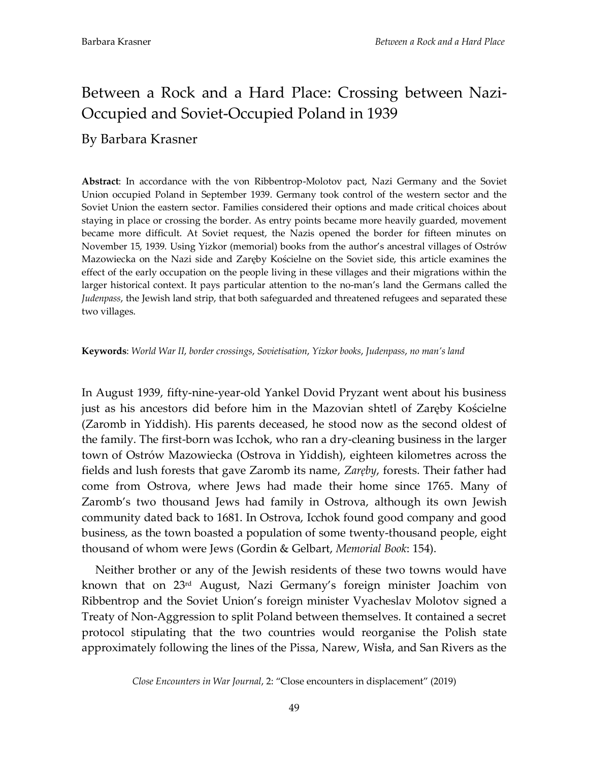# Between a Rock and a Hard Place: Crossing between Nazi-Occupied and Soviet-Occupied Poland in 1939

# By Barbara Krasner

**Abstract**: In accordance with the von Ribbentrop-Molotov pact, Nazi Germany and the Soviet Union occupied Poland in September 1939. Germany took control of the western sector and the Soviet Union the eastern sector. Families considered their options and made critical choices about staying in place or crossing the border. As entry points became more heavily guarded, movement became more difficult. At Soviet request, the Nazis opened the border for fifteen minutes on November 15, 1939. Using Yizkor (memorial) books from the author's ancestral villages of Ostrów Mazowiecka on the Nazi side and Zaręby Kościelne on the Soviet side, this article examines the effect of the early occupation on the people living in these villages and their migrations within the larger historical context. It pays particular attention to the no-man's land the Germans called the *Judenpass*, the Jewish land strip, that both safeguarded and threatened refugees and separated these two villages.

**Keywords**: *World War II*, *border crossings*, *Sovietisation*, *Yizkor books*, *Judenpass*, *no man's land*

In August 1939, fifty-nine-year-old Yankel Dovid Pryzant went about his business just as his ancestors did before him in the Mazovian shtetl of Zaręby Kościelne (Zaromb in Yiddish). His parents deceased, he stood now as the second oldest of the family. The first-born was Icchok, who ran a dry-cleaning business in the larger town of Ostrów Mazowiecka (Ostrova in Yiddish), eighteen kilometres across the fields and lush forests that gave Zaromb its name, *Zaręby*, forests. Their father had come from Ostrova, where Jews had made their home since 1765. Many of Zaromb's two thousand Jews had family in Ostrova, although its own Jewish community dated back to 1681. In Ostrova, Icchok found good company and good business, as the town boasted a population of some twenty-thousand people, eight thousand of whom were Jews (Gordin & Gelbart, *Memorial Book*: 154).

Neither brother or any of the Jewish residents of these two towns would have known that on 23rd August, Nazi Germany's foreign minister Joachim von Ribbentrop and the Soviet Union's foreign minister Vyacheslav Molotov signed a Treaty of Non-Aggression to split Poland between themselves. It contained a secret protocol stipulating that the two countries would reorganise the Polish state approximately following the lines of the Pissa, Narew, Wisła, and San Rivers as the

*Close Encounters in War Journal*, 2: "Close encounters in displacement" (2019)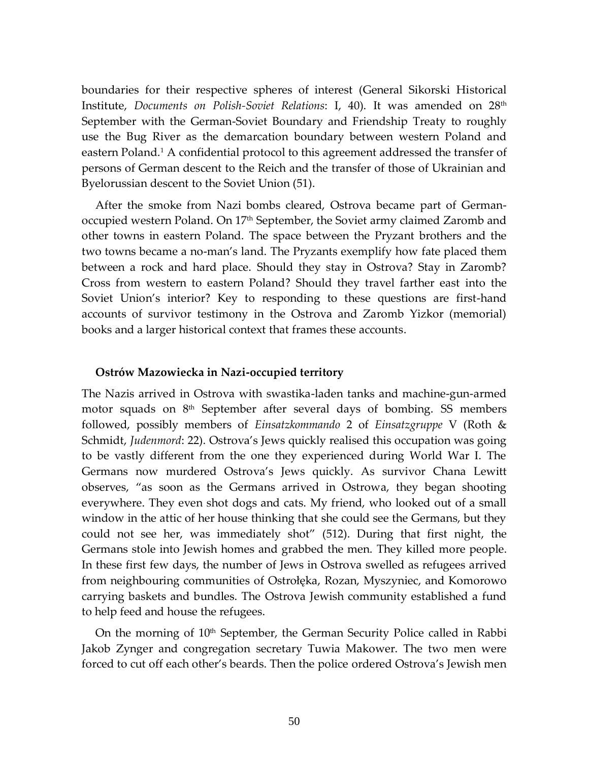boundaries for their respective spheres of interest (General Sikorski Historical Institute, *Documents on Polish-Soviet Relations*: I, 40). It was amended on 28<sup>th</sup> September with the German-Soviet Boundary and Friendship Treaty to roughly use the Bug River as the demarcation boundary between western Poland and eastern Poland.<sup>1</sup> A confidential protocol to this agreement addressed the transfer of persons of German descent to the Reich and the transfer of those of Ukrainian and Byelorussian descent to the Soviet Union (51).

After the smoke from Nazi bombs cleared, Ostrova became part of Germanoccupied western Poland. On 17<sup>th</sup> September, the Soviet army claimed Zaromb and other towns in eastern Poland. The space between the Pryzant brothers and the two towns became a no-man's land. The Pryzants exemplify how fate placed them between a rock and hard place. Should they stay in Ostrova? Stay in Zaromb? Cross from western to eastern Poland? Should they travel farther east into the Soviet Union's interior? Key to responding to these questions are first-hand accounts of survivor testimony in the Ostrova and Zaromb Yizkor (memorial) books and a larger historical context that frames these accounts.

### **Ostrów Mazowiecka in Nazi-occupied territory**

The Nazis arrived in Ostrova with swastika-laden tanks and machine-gun-armed motor squads on 8<sup>th</sup> September after several days of bombing. SS members followed, possibly members of *Einsatzkommando* 2 of *Einsatzgruppe* V (Roth & Schmidt, *Judenmord*: 22). Ostrova's Jews quickly realised this occupation was going to be vastly different from the one they experienced during World War I. The Germans now murdered Ostrova's Jews quickly. As survivor Chana Lewitt observes, "as soon as the Germans arrived in Ostrowa, they began shooting everywhere. They even shot dogs and cats. My friend, who looked out of a small window in the attic of her house thinking that she could see the Germans, but they could not see her, was immediately shot" (512). During that first night, the Germans stole into Jewish homes and grabbed the men. They killed more people. In these first few days, the number of Jews in Ostrova swelled as refugees arrived from neighbouring communities of Ostrołęka, Rozan, Myszyniec, and Komorowo carrying baskets and bundles. The Ostrova Jewish community established a fund to help feed and house the refugees.

On the morning of  $10<sup>th</sup>$  September, the German Security Police called in Rabbi Jakob Zynger and congregation secretary Tuwia Makower. The two men were forced to cut off each other's beards. Then the police ordered Ostrova's Jewish men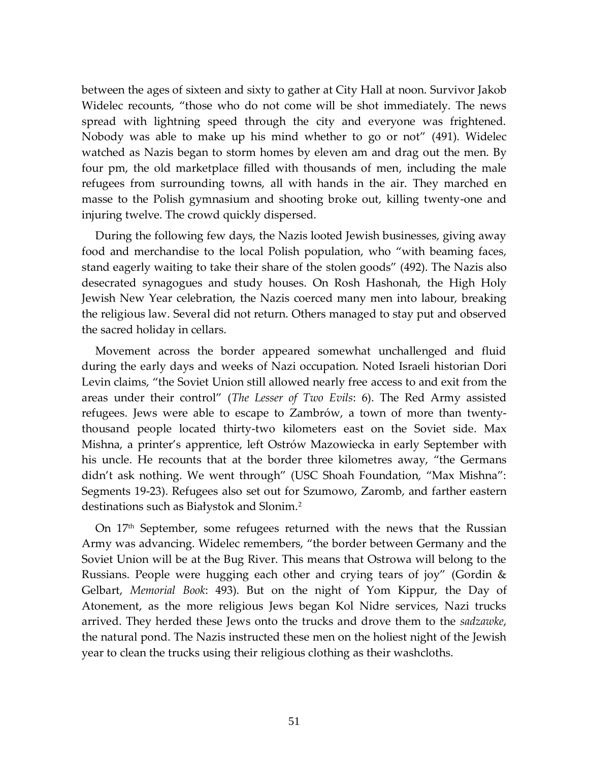between the ages of sixteen and sixty to gather at City Hall at noon. Survivor Jakob Widelec recounts, "those who do not come will be shot immediately. The news spread with lightning speed through the city and everyone was frightened. Nobody was able to make up his mind whether to go or not" (491). Widelec watched as Nazis began to storm homes by eleven am and drag out the men. By four pm, the old marketplace filled with thousands of men, including the male refugees from surrounding towns, all with hands in the air. They marched en masse to the Polish gymnasium and shooting broke out, killing twenty-one and injuring twelve. The crowd quickly dispersed.

During the following few days, the Nazis looted Jewish businesses, giving away food and merchandise to the local Polish population, who "with beaming faces, stand eagerly waiting to take their share of the stolen goods" (492). The Nazis also desecrated synagogues and study houses. On Rosh Hashonah, the High Holy Jewish New Year celebration, the Nazis coerced many men into labour, breaking the religious law. Several did not return. Others managed to stay put and observed the sacred holiday in cellars.

Movement across the border appeared somewhat unchallenged and fluid during the early days and weeks of Nazi occupation. Noted Israeli historian Dori Levin claims, "the Soviet Union still allowed nearly free access to and exit from the areas under their control" (*The Lesser of Two Evils*: 6). The Red Army assisted refugees. Jews were able to escape to Zambrów, a town of more than twentythousand people located thirty-two kilometers east on the Soviet side. Max Mishna, a printer's apprentice, left Ostrów Mazowiecka in early September with his uncle. He recounts that at the border three kilometres away, "the Germans didn't ask nothing. We went through" (USC Shoah Foundation, "Max Mishna": Segments 19-23). Refugees also set out for Szumowo, Zaromb, and farther eastern destinations such as Białystok and Slonim.<sup>2</sup>

On  $17<sup>th</sup>$  September, some refugees returned with the news that the Russian Army was advancing. Widelec remembers, "the border between Germany and the Soviet Union will be at the Bug River. This means that Ostrowa will belong to the Russians. People were hugging each other and crying tears of joy" (Gordin & Gelbart, *Memorial Book*: 493). But on the night of Yom Kippur, the Day of Atonement, as the more religious Jews began Kol Nidre services, Nazi trucks arrived. They herded these Jews onto the trucks and drove them to the *sadzawke*, the natural pond. The Nazis instructed these men on the holiest night of the Jewish year to clean the trucks using their religious clothing as their washcloths.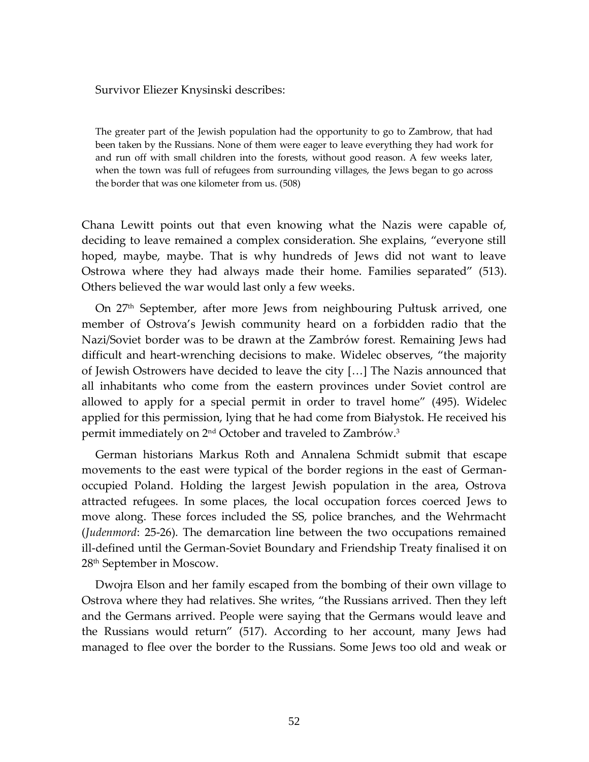Survivor Eliezer Knysinski describes:

The greater part of the Jewish population had the opportunity to go to Zambrow, that had been taken by the Russians. None of them were eager to leave everything they had work for and run off with small children into the forests, without good reason. A few weeks later, when the town was full of refugees from surrounding villages, the Jews began to go across the border that was one kilometer from us. (508)

Chana Lewitt points out that even knowing what the Nazis were capable of, deciding to leave remained a complex consideration. She explains, "everyone still hoped, maybe, maybe. That is why hundreds of Jews did not want to leave Ostrowa where they had always made their home. Families separated" (513). Others believed the war would last only a few weeks.

On 27th September, after more Jews from neighbouring Pułtusk arrived, one member of Ostrova's Jewish community heard on a forbidden radio that the Nazi/Soviet border was to be drawn at the Zambrów forest. Remaining Jews had difficult and heart-wrenching decisions to make. Widelec observes, "the majority of Jewish Ostrowers have decided to leave the city […] The Nazis announced that all inhabitants who come from the eastern provinces under Soviet control are allowed to apply for a special permit in order to travel home" (495). Widelec applied for this permission, lying that he had come from Białystok. He received his permit immediately on 2nd October and traveled to Zambrów.<sup>3</sup>

German historians Markus Roth and Annalena Schmidt submit that escape movements to the east were typical of the border regions in the east of Germanoccupied Poland. Holding the largest Jewish population in the area, Ostrova attracted refugees. In some places, the local occupation forces coerced Jews to move along. These forces included the SS, police branches, and the Wehrmacht (*Judenmord*: 25-26). The demarcation line between the two occupations remained ill-defined until the German-Soviet Boundary and Friendship Treaty finalised it on 28th September in Moscow.

Dwojra Elson and her family escaped from the bombing of their own village to Ostrova where they had relatives. She writes, "the Russians arrived. Then they left and the Germans arrived. People were saying that the Germans would leave and the Russians would return" (517). According to her account, many Jews had managed to flee over the border to the Russians. Some Jews too old and weak or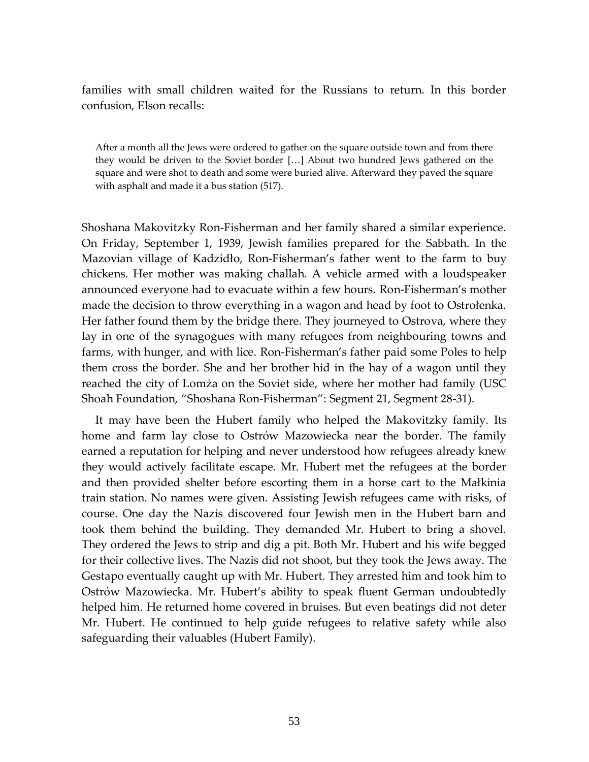families with small children waited for the Russians to return. In this border confusion, Elson recalls:

After a month all the Jews were ordered to gather on the square outside town and from there they would be driven to the Soviet border […] About two hundred Jews gathered on the square and were shot to death and some were buried alive. Afterward they paved the square with asphalt and made it a bus station (517).

Shoshana Makovitzky Ron-Fisherman and her family shared a similar experience. On Friday, September 1, 1939, Jewish families prepared for the Sabbath. In the Mazovian village of Kadzidło, Ron-Fisherman's father went to the farm to buy chickens. Her mother was making challah. A vehicle armed with a loudspeaker announced everyone had to evacuate within a few hours. Ron-Fisherman's mother made the decision to throw everything in a wagon and head by foot to Ostrołenka. Her father found them by the bridge there. They journeyed to Ostrova, where they lay in one of the synagogues with many refugees from neighbouring towns and farms, with hunger, and with lice. Ron-Fisherman's father paid some Poles to help them cross the border. She and her brother hid in the hay of a wagon until they reached the city of Lomża on the Soviet side, where her mother had family (USC Shoah Foundation, "Shoshana Ron-Fisherman": Segment 21, Segment 28-31).

It may have been the Hubert family who helped the Makovitzky family. Its home and farm lay close to Ostrów Mazowiecka near the border. The family earned a reputation for helping and never understood how refugees already knew they would actively facilitate escape. Mr. Hubert met the refugees at the border and then provided shelter before escorting them in a horse cart to the Małkinia train station. No names were given. Assisting Jewish refugees came with risks, of course. One day the Nazis discovered four Jewish men in the Hubert barn and took them behind the building. They demanded Mr. Hubert to bring a shovel. They ordered the Jews to strip and dig a pit. Both Mr. Hubert and his wife begged for their collective lives. The Nazis did not shoot, but they took the Jews away. The Gestapo eventually caught up with Mr. Hubert. They arrested him and took him to Ostrów Mazowiecka. Mr. Hubert's ability to speak fluent German undoubtedly helped him. He returned home covered in bruises. But even beatings did not deter Mr. Hubert. He continued to help guide refugees to relative safety while also safeguarding their valuables (Hubert Family).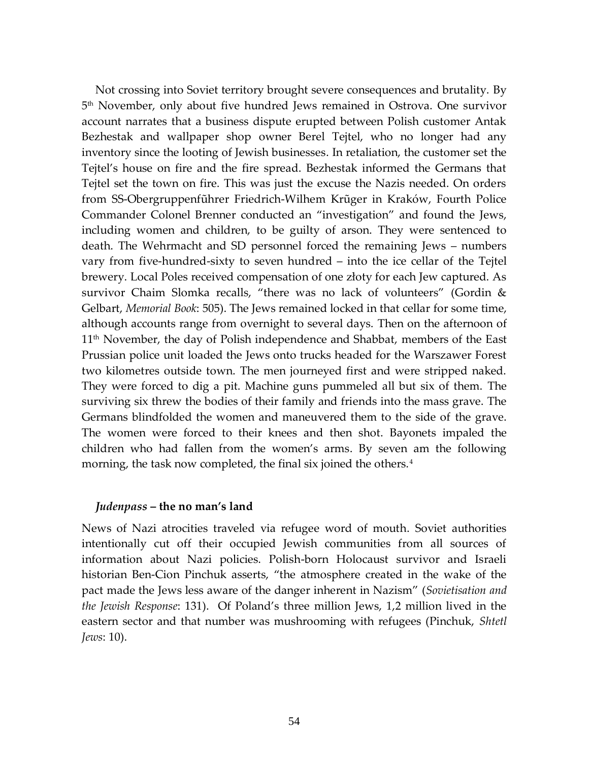Not crossing into Soviet territory brought severe consequences and brutality. By 5 th November, only about five hundred Jews remained in Ostrova. One survivor account narrates that a business dispute erupted between Polish customer Antak Bezhestak and wallpaper shop owner Berel Tejtel, who no longer had any inventory since the looting of Jewish businesses. In retaliation, the customer set the Tejtel's house on fire and the fire spread. Bezhestak informed the Germans that Tejtel set the town on fire. This was just the excuse the Nazis needed. On orders from SS-Obergruppenfũhrer Friedrich-Wilhem Krũger in Kraków, Fourth Police Commander Colonel Brenner conducted an "investigation" and found the Jews, including women and children, to be guilty of arson. They were sentenced to death. The Wehrmacht and SD personnel forced the remaining Jews – numbers vary from five-hundred-sixty to seven hundred – into the ice cellar of the Tejtel brewery. Local Poles received compensation of one złoty for each Jew captured. As survivor Chaim Slomka recalls, "there was no lack of volunteers" (Gordin & Gelbart, *Memorial Book*: 505). The Jews remained locked in that cellar for some time, although accounts range from overnight to several days. Then on the afternoon of 11th November, the day of Polish independence and Shabbat, members of the East Prussian police unit loaded the Jews onto trucks headed for the Warszawer Forest two kilometres outside town. The men journeyed first and were stripped naked. They were forced to dig a pit. Machine guns pummeled all but six of them. The surviving six threw the bodies of their family and friends into the mass grave. The Germans blindfolded the women and maneuvered them to the side of the grave. The women were forced to their knees and then shot. Bayonets impaled the children who had fallen from the women's arms. By seven am the following morning, the task now completed, the final six joined the others.<sup>4</sup>

#### *Judenpass* **– the no man's land**

News of Nazi atrocities traveled via refugee word of mouth. Soviet authorities intentionally cut off their occupied Jewish communities from all sources of information about Nazi policies. Polish-born Holocaust survivor and Israeli historian Ben-Cion Pinchuk asserts, "the atmosphere created in the wake of the pact made the Jews less aware of the danger inherent in Nazism" (*Sovietisation and the Jewish Response*: 131). Of Poland's three million Jews, 1,2 million lived in the eastern sector and that number was mushrooming with refugees (Pinchuk, *Shtetl Jews*: 10).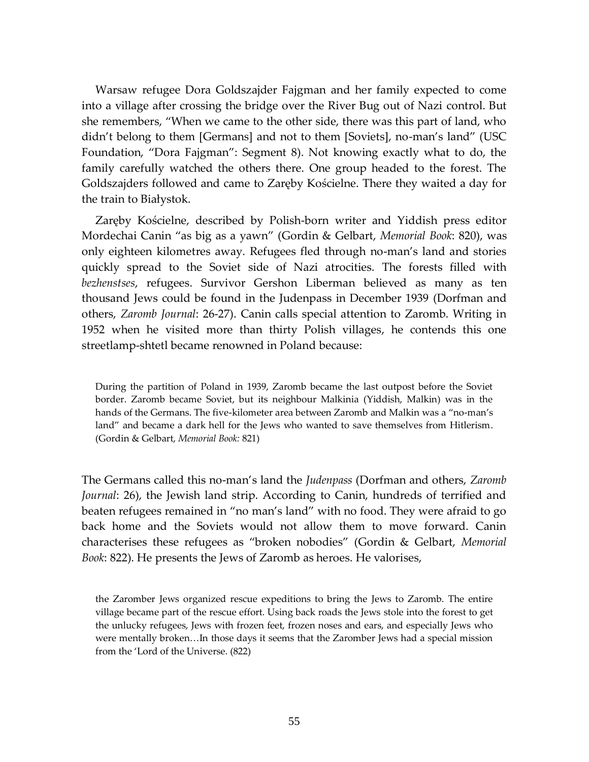Warsaw refugee Dora Goldszajder Fajgman and her family expected to come into a village after crossing the bridge over the River Bug out of Nazi control. But she remembers, "When we came to the other side, there was this part of land, who didn't belong to them [Germans] and not to them [Soviets], no-man's land" (USC Foundation, "Dora Fajgman": Segment 8). Not knowing exactly what to do, the family carefully watched the others there. One group headed to the forest. The Goldszajders followed and came to Zaręby Kościelne. There they waited a day for the train to Białystok.

Zaręby Kościelne, described by Polish-born writer and Yiddish press editor Mordechai Canin "as big as a yawn" (Gordin & Gelbart, *Memorial Book*: 820), was only eighteen kilometres away. Refugees fled through no-man's land and stories quickly spread to the Soviet side of Nazi atrocities. The forests filled with *bezhenstses*, refugees. Survivor Gershon Liberman believed as many as ten thousand Jews could be found in the Judenpass in December 1939 (Dorfman and others, *Zaromb Journal*: 26-27). Canin calls special attention to Zaromb. Writing in 1952 when he visited more than thirty Polish villages, he contends this one streetlamp-shtetl became renowned in Poland because:

During the partition of Poland in 1939, Zaromb became the last outpost before the Soviet border. Zaromb became Soviet, but its neighbour Malkinia (Yiddish, Malkin) was in the hands of the Germans. The five-kilometer area between Zaromb and Malkin was a "no-man's land" and became a dark hell for the Jews who wanted to save themselves from Hitlerism. (Gordin & Gelbart, *Memorial Book:* 821)

The Germans called this no-man's land the *Judenpass* (Dorfman and others, *Zaromb Journal*: 26), the Jewish land strip. According to Canin, hundreds of terrified and beaten refugees remained in "no man's land" with no food. They were afraid to go back home and the Soviets would not allow them to move forward. Canin characterises these refugees as "broken nobodies" (Gordin & Gelbart, *Memorial Book*: 822). He presents the Jews of Zaromb as heroes. He valorises,

the Zaromber Jews organized rescue expeditions to bring the Jews to Zaromb. The entire village became part of the rescue effort. Using back roads the Jews stole into the forest to get the unlucky refugees, Jews with frozen feet, frozen noses and ears, and especially Jews who were mentally broken…In those days it seems that the Zaromber Jews had a special mission from the 'Lord of the Universe. (822)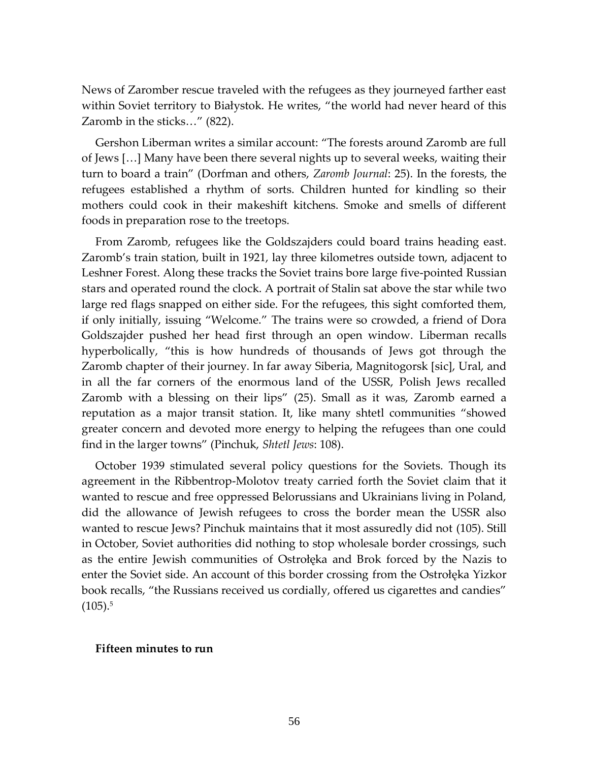News of Zaromber rescue traveled with the refugees as they journeyed farther east within Soviet territory to Białystok. He writes, "the world had never heard of this Zaromb in the sticks…" (822).

Gershon Liberman writes a similar account: "The forests around Zaromb are full of Jews […] Many have been there several nights up to several weeks, waiting their turn to board a train" (Dorfman and others, *Zaromb Journal*: 25). In the forests, the refugees established a rhythm of sorts. Children hunted for kindling so their mothers could cook in their makeshift kitchens. Smoke and smells of different foods in preparation rose to the treetops.

From Zaromb, refugees like the Goldszajders could board trains heading east. Zaromb's train station, built in 1921, lay three kilometres outside town, adjacent to Leshner Forest. Along these tracks the Soviet trains bore large five-pointed Russian stars and operated round the clock. A portrait of Stalin sat above the star while two large red flags snapped on either side. For the refugees, this sight comforted them, if only initially, issuing "Welcome." The trains were so crowded, a friend of Dora Goldszajder pushed her head first through an open window. Liberman recalls hyperbolically, "this is how hundreds of thousands of Jews got through the Zaromb chapter of their journey. In far away Siberia, Magnitogorsk [sic], Ural, and in all the far corners of the enormous land of the USSR, Polish Jews recalled Zaromb with a blessing on their lips" (25). Small as it was, Zaromb earned a reputation as a major transit station. It, like many shtetl communities "showed greater concern and devoted more energy to helping the refugees than one could find in the larger towns" (Pinchuk, *Shtetl Jews*: 108).

October 1939 stimulated several policy questions for the Soviets. Though its agreement in the Ribbentrop-Molotov treaty carried forth the Soviet claim that it wanted to rescue and free oppressed Belorussians and Ukrainians living in Poland, did the allowance of Jewish refugees to cross the border mean the USSR also wanted to rescue Jews? Pinchuk maintains that it most assuredly did not (105). Still in October, Soviet authorities did nothing to stop wholesale border crossings, such as the entire Jewish communities of Ostrołęka and Brok forced by the Nazis to enter the Soviet side. An account of this border crossing from the Ostrołęka Yizkor book recalls, "the Russians received us cordially, offered us cigarettes and candies"  $(105).5$ 

### **Fifteen minutes to run**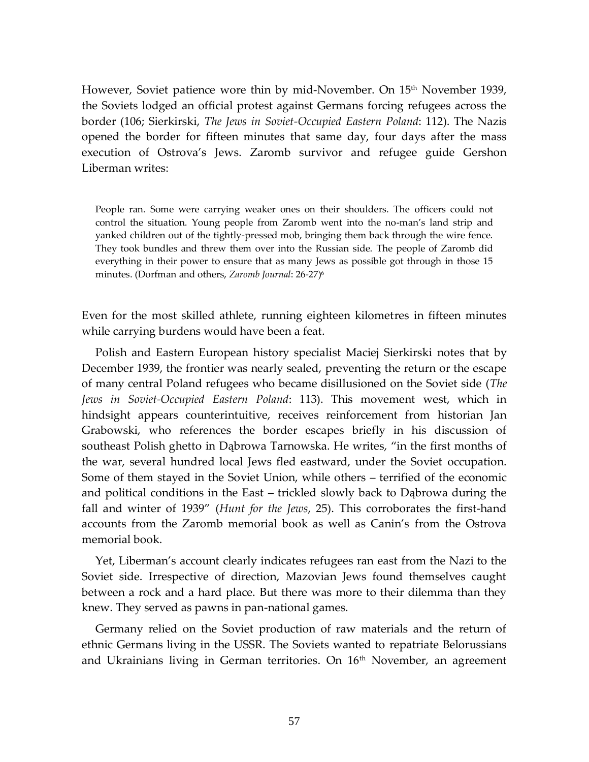However, Soviet patience wore thin by mid-November. On 15<sup>th</sup> November 1939, the Soviets lodged an official protest against Germans forcing refugees across the border (106; Sierkirski, *The Jews in Soviet-Occupied Eastern Poland*: 112). The Nazis opened the border for fifteen minutes that same day, four days after the mass execution of Ostrova's Jews. Zaromb survivor and refugee guide Gershon Liberman writes:

People ran. Some were carrying weaker ones on their shoulders. The officers could not control the situation. Young people from Zaromb went into the no-man's land strip and yanked children out of the tightly-pressed mob, bringing them back through the wire fence. They took bundles and threw them over into the Russian side. The people of Zaromb did everything in their power to ensure that as many Jews as possible got through in those 15 minutes. (Dorfman and others, *Zaromb Journal*: 26-27) 6

Even for the most skilled athlete, running eighteen kilometres in fifteen minutes while carrying burdens would have been a feat.

Polish and Eastern European history specialist Maciej Sierkirski notes that by December 1939, the frontier was nearly sealed, preventing the return or the escape of many central Poland refugees who became disillusioned on the Soviet side (*The Jews in Soviet-Occupied Eastern Poland*: 113). This movement west, which in hindsight appears counterintuitive, receives reinforcement from historian Jan Grabowski, who references the border escapes briefly in his discussion of southeast Polish ghetto in Dąbrowa Tarnowska. He writes, "in the first months of the war, several hundred local Jews fled eastward, under the Soviet occupation. Some of them stayed in the Soviet Union, while others – terrified of the economic and political conditions in the East – trickled slowly back to Dąbrowa during the fall and winter of 1939" (*Hunt for the Jews*, 25). This corroborates the first-hand accounts from the Zaromb memorial book as well as Canin's from the Ostrova memorial book.

Yet, Liberman's account clearly indicates refugees ran east from the Nazi to the Soviet side. Irrespective of direction, Mazovian Jews found themselves caught between a rock and a hard place. But there was more to their dilemma than they knew. They served as pawns in pan-national games.

Germany relied on the Soviet production of raw materials and the return of ethnic Germans living in the USSR. The Soviets wanted to repatriate Belorussians and Ukrainians living in German territories. On 16<sup>th</sup> November, an agreement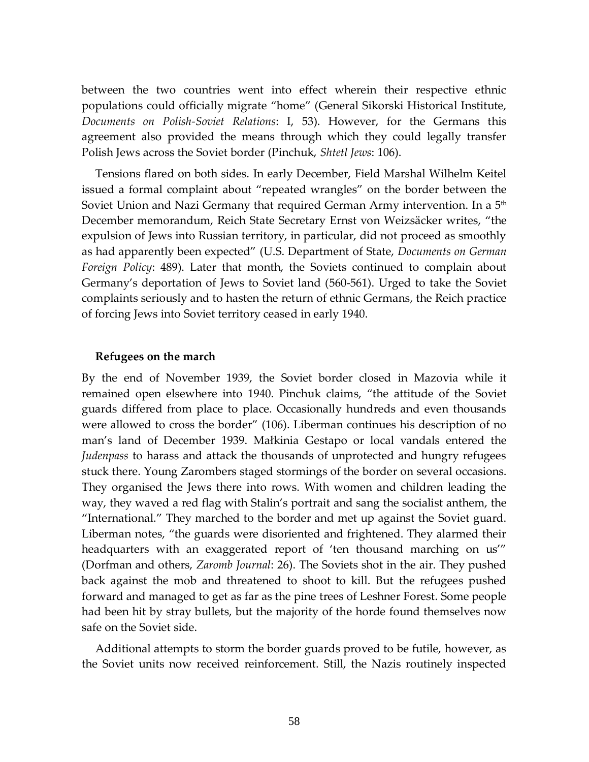between the two countries went into effect wherein their respective ethnic populations could officially migrate "home" (General Sikorski Historical Institute, *Documents on Polish-Soviet Relations*: I, 53). However, for the Germans this agreement also provided the means through which they could legally transfer Polish Jews across the Soviet border (Pinchuk, *Shtetl Jews*: 106).

Tensions flared on both sides. In early December, Field Marshal Wilhelm Keitel issued a formal complaint about "repeated wrangles" on the border between the Soviet Union and Nazi Germany that required German Army intervention. In a 5<sup>th</sup> December memorandum, Reich State Secretary Ernst von Weizsäcker writes, "the expulsion of Jews into Russian territory, in particular, did not proceed as smoothly as had apparently been expected" (U.S. Department of State, *Documents on German Foreign Policy*: 489). Later that month, the Soviets continued to complain about Germany's deportation of Jews to Soviet land (560-561). Urged to take the Soviet complaints seriously and to hasten the return of ethnic Germans, the Reich practice of forcing Jews into Soviet territory ceased in early 1940.

#### **Refugees on the march**

By the end of November 1939, the Soviet border closed in Mazovia while it remained open elsewhere into 1940. Pinchuk claims, "the attitude of the Soviet guards differed from place to place. Occasionally hundreds and even thousands were allowed to cross the border" (106). Liberman continues his description of no man's land of December 1939. Małkinia Gestapo or local vandals entered the *Judenpass* to harass and attack the thousands of unprotected and hungry refugees stuck there. Young Zarombers staged stormings of the border on several occasions. They organised the Jews there into rows. With women and children leading the way, they waved a red flag with Stalin's portrait and sang the socialist anthem, the "International." They marched to the border and met up against the Soviet guard. Liberman notes, "the guards were disoriented and frightened. They alarmed their headquarters with an exaggerated report of 'ten thousand marching on us'" (Dorfman and others, *Zaromb Journal*: 26). The Soviets shot in the air. They pushed back against the mob and threatened to shoot to kill. But the refugees pushed forward and managed to get as far as the pine trees of Leshner Forest. Some people had been hit by stray bullets, but the majority of the horde found themselves now safe on the Soviet side.

Additional attempts to storm the border guards proved to be futile, however, as the Soviet units now received reinforcement. Still, the Nazis routinely inspected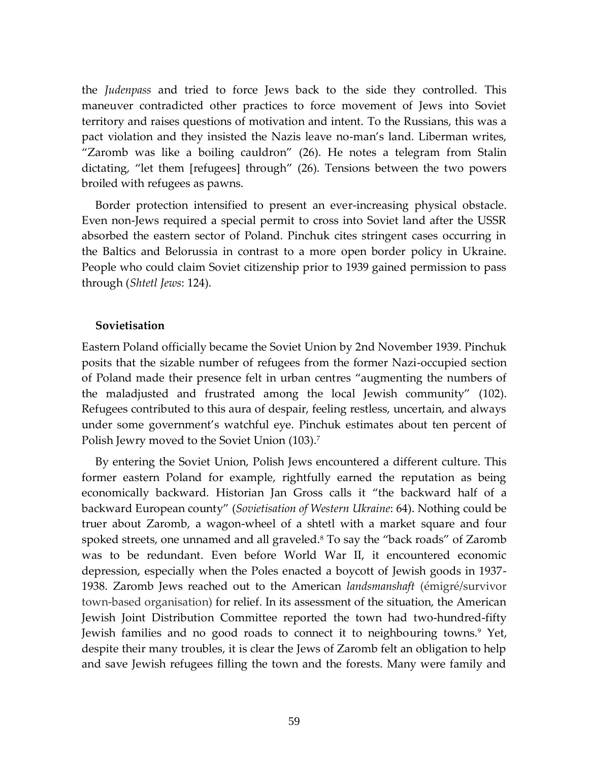the *Judenpass* and tried to force Jews back to the side they controlled. This maneuver contradicted other practices to force movement of Jews into Soviet territory and raises questions of motivation and intent. To the Russians, this was a pact violation and they insisted the Nazis leave no-man's land. Liberman writes, "Zaromb was like a boiling cauldron" (26). He notes a telegram from Stalin dictating, "let them [refugees] through" (26). Tensions between the two powers broiled with refugees as pawns.

Border protection intensified to present an ever-increasing physical obstacle. Even non-Jews required a special permit to cross into Soviet land after the USSR absorbed the eastern sector of Poland. Pinchuk cites stringent cases occurring in the Baltics and Belorussia in contrast to a more open border policy in Ukraine. People who could claim Soviet citizenship prior to 1939 gained permission to pass through (*Shtetl Jews*: 124).

# **Sovietisation**

Eastern Poland officially became the Soviet Union by 2nd November 1939. Pinchuk posits that the sizable number of refugees from the former Nazi-occupied section of Poland made their presence felt in urban centres "augmenting the numbers of the maladjusted and frustrated among the local Jewish community" (102). Refugees contributed to this aura of despair, feeling restless, uncertain, and always under some government's watchful eye. Pinchuk estimates about ten percent of Polish Jewry moved to the Soviet Union (103). 7

By entering the Soviet Union, Polish Jews encountered a different culture. This former eastern Poland for example, rightfully earned the reputation as being economically backward. Historian Jan Gross calls it "the backward half of a backward European county" (*Sovietisation of Western Ukraine*: 64). Nothing could be truer about Zaromb, a wagon-wheel of a shtetl with a market square and four spoked streets, one unnamed and all graveled.<sup>8</sup> To say the "back roads" of Zaromb was to be redundant. Even before World War II, it encountered economic depression, especially when the Poles enacted a boycott of Jewish goods in 1937- 1938. Zaromb Jews reached out to the American *landsmanshaft* (émigré/survivor town-based organisation) for relief. In its assessment of the situation, the American Jewish Joint Distribution Committee reported the town had two-hundred-fifty Jewish families and no good roads to connect it to neighbouring towns.<sup>9</sup> Yet, despite their many troubles, it is clear the Jews of Zaromb felt an obligation to help and save Jewish refugees filling the town and the forests. Many were family and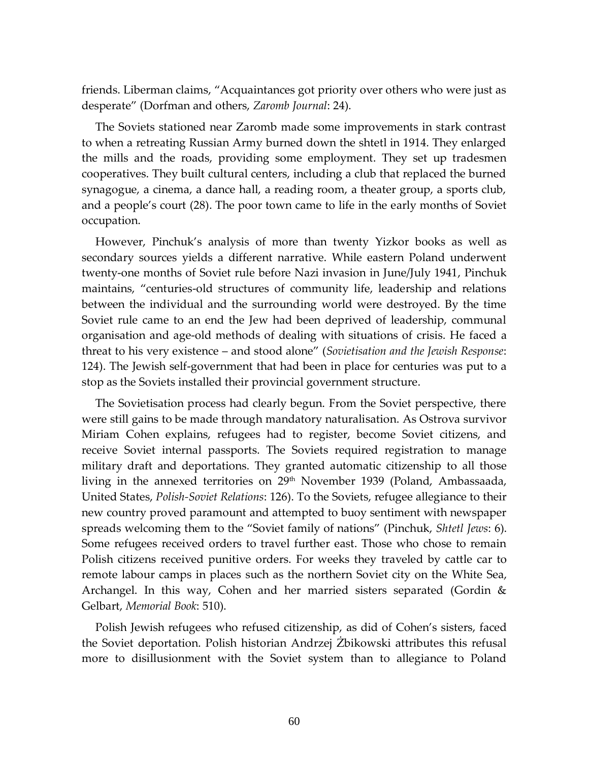friends. Liberman claims, "Acquaintances got priority over others who were just as desperate" (Dorfman and others, *Zaromb Journal*: 24).

The Soviets stationed near Zaromb made some improvements in stark contrast to when a retreating Russian Army burned down the shtetl in 1914. They enlarged the mills and the roads, providing some employment. They set up tradesmen cooperatives. They built cultural centers, including a club that replaced the burned synagogue, a cinema, a dance hall, a reading room, a theater group, a sports club, and a people's court (28). The poor town came to life in the early months of Soviet occupation.

However, Pinchuk's analysis of more than twenty Yizkor books as well as secondary sources yields a different narrative. While eastern Poland underwent twenty-one months of Soviet rule before Nazi invasion in June/July 1941, Pinchuk maintains, "centuries-old structures of community life, leadership and relations between the individual and the surrounding world were destroyed. By the time Soviet rule came to an end the Jew had been deprived of leadership, communal organisation and age-old methods of dealing with situations of crisis. He faced a threat to his very existence – and stood alone" (*Sovietisation and the Jewish Response*: 124). The Jewish self-government that had been in place for centuries was put to a stop as the Soviets installed their provincial government structure.

The Sovietisation process had clearly begun. From the Soviet perspective, there were still gains to be made through mandatory naturalisation. As Ostrova survivor Miriam Cohen explains, refugees had to register, become Soviet citizens, and receive Soviet internal passports. The Soviets required registration to manage military draft and deportations. They granted automatic citizenship to all those living in the annexed territories on 29<sup>th</sup> November 1939 (Poland, Ambassaada, United States, *Polish-Soviet Relations*: 126). To the Soviets, refugee allegiance to their new country proved paramount and attempted to buoy sentiment with newspaper spreads welcoming them to the "Soviet family of nations" (Pinchuk, *Shtetl Jews*: 6). Some refugees received orders to travel further east. Those who chose to remain Polish citizens received punitive orders. For weeks they traveled by cattle car to remote labour camps in places such as the northern Soviet city on the White Sea, Archangel. In this way, Cohen and her married sisters separated (Gordin & Gelbart, *Memorial Book*: 510).

Polish Jewish refugees who refused citizenship, as did of Cohen's sisters, faced the Soviet deportation. Polish historian Andrzej Żbikowski attributes this refusal more to disillusionment with the Soviet system than to allegiance to Poland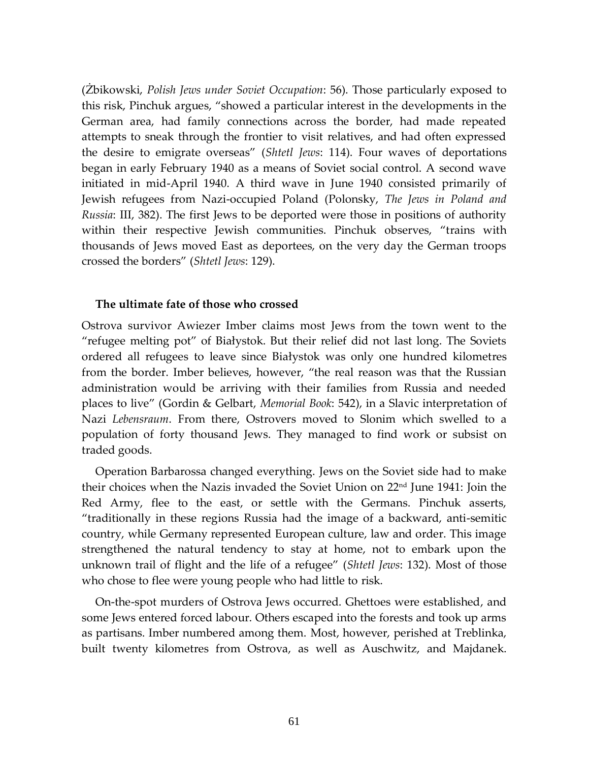(Żbikowski, *Polish Jews under Soviet Occupation*: 56). Those particularly exposed to this risk, Pinchuk argues, "showed a particular interest in the developments in the German area, had family connections across the border, had made repeated attempts to sneak through the frontier to visit relatives, and had often expressed the desire to emigrate overseas" (*Shtetl Jews*: 114). Four waves of deportations began in early February 1940 as a means of Soviet social control. A second wave initiated in mid-April 1940. A third wave in June 1940 consisted primarily of Jewish refugees from Nazi-occupied Poland (Polonsky, *The Jews in Poland and Russia*: III, 382). The first Jews to be deported were those in positions of authority within their respective Jewish communities. Pinchuk observes, "trains with thousands of Jews moved East as deportees, on the very day the German troops crossed the borders" (*Shtetl Jews*: 129).

### **The ultimate fate of those who crossed**

Ostrova survivor Awiezer Imber claims most Jews from the town went to the "refugee melting pot" of Białystok. But their relief did not last long. The Soviets ordered all refugees to leave since Białystok was only one hundred kilometres from the border. Imber believes, however, "the real reason was that the Russian administration would be arriving with their families from Russia and needed places to live" (Gordin & Gelbart, *Memorial Book*: 542), in a Slavic interpretation of Nazi *Lebensraum*. From there, Ostrovers moved to Slonim which swelled to a population of forty thousand Jews. They managed to find work or subsist on traded goods.

Operation Barbarossa changed everything. Jews on the Soviet side had to make their choices when the Nazis invaded the Soviet Union on 22 nd June 1941: Join the Red Army, flee to the east, or settle with the Germans. Pinchuk asserts, "traditionally in these regions Russia had the image of a backward, anti-semitic country, while Germany represented European culture, law and order. This image strengthened the natural tendency to stay at home, not to embark upon the unknown trail of flight and the life of a refugee" (*Shtetl Jews*: 132). Most of those who chose to flee were young people who had little to risk.

On-the-spot murders of Ostrova Jews occurred. Ghettoes were established, and some Jews entered forced labour. Others escaped into the forests and took up arms as partisans. Imber numbered among them. Most, however, perished at Treblinka, built twenty kilometres from Ostrova, as well as Auschwitz, and Majdanek.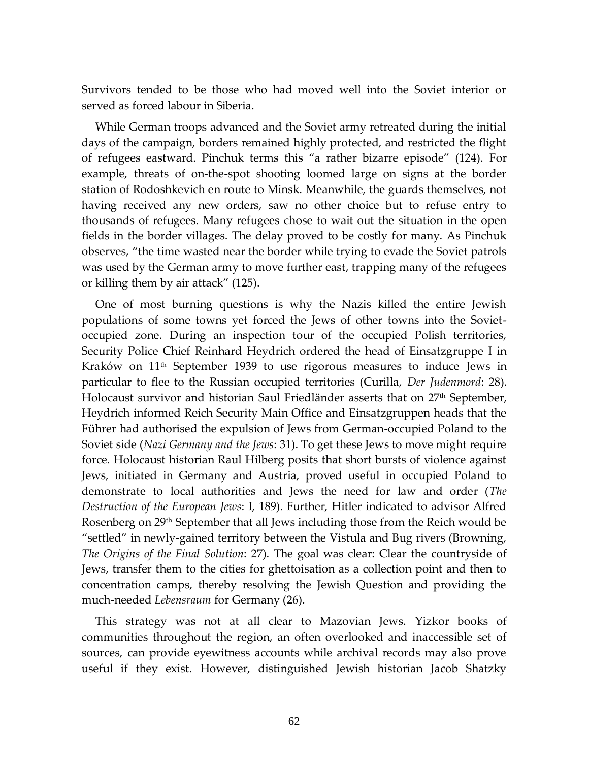Survivors tended to be those who had moved well into the Soviet interior or served as forced labour in Siberia.

While German troops advanced and the Soviet army retreated during the initial days of the campaign, borders remained highly protected, and restricted the flight of refugees eastward. Pinchuk terms this "a rather bizarre episode" (124). For example, threats of on-the-spot shooting loomed large on signs at the border station of Rodoshkevich en route to Minsk. Meanwhile, the guards themselves, not having received any new orders, saw no other choice but to refuse entry to thousands of refugees. Many refugees chose to wait out the situation in the open fields in the border villages. The delay proved to be costly for many. As Pinchuk observes, "the time wasted near the border while trying to evade the Soviet patrols was used by the German army to move further east, trapping many of the refugees or killing them by air attack" (125).

One of most burning questions is why the Nazis killed the entire Jewish populations of some towns yet forced the Jews of other towns into the Sovietoccupied zone. During an inspection tour of the occupied Polish territories, Security Police Chief Reinhard Heydrich ordered the head of Einsatzgruppe I in Kraków on 11th September 1939 to use rigorous measures to induce Jews in particular to flee to the Russian occupied territories (Curilla, *Der Judenmord*: 28). Holocaust survivor and historian Saul Friedländer asserts that on 27<sup>th</sup> September, Heydrich informed Reich Security Main Office and Einsatzgruppen heads that the Führer had authorised the expulsion of Jews from German-occupied Poland to the Soviet side (*Nazi Germany and the Jews*: 31). To get these Jews to move might require force. Holocaust historian Raul Hilberg posits that short bursts of violence against Jews, initiated in Germany and Austria, proved useful in occupied Poland to demonstrate to local authorities and Jews the need for law and order (*The Destruction of the European Jews*: I, 189). Further, Hitler indicated to advisor Alfred Rosenberg on 29th September that all Jews including those from the Reich would be "settled" in newly-gained territory between the Vistula and Bug rivers (Browning, *The Origins of the Final Solution*: 27). The goal was clear: Clear the countryside of Jews, transfer them to the cities for ghettoisation as a collection point and then to concentration camps, thereby resolving the Jewish Question and providing the much-needed *Lebensraum* for Germany (26).

This strategy was not at all clear to Mazovian Jews. Yizkor books of communities throughout the region, an often overlooked and inaccessible set of sources, can provide eyewitness accounts while archival records may also prove useful if they exist. However, distinguished Jewish historian Jacob Shatzky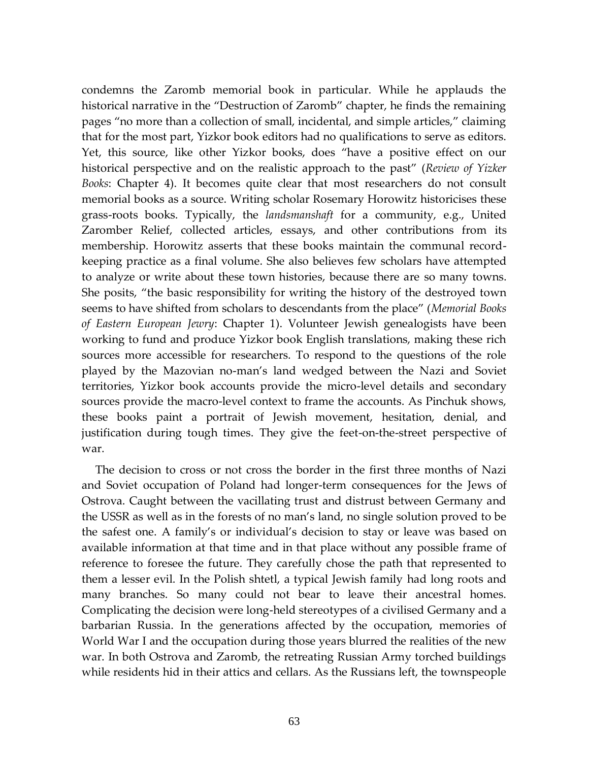condemns the Zaromb memorial book in particular. While he applauds the historical narrative in the "Destruction of Zaromb" chapter, he finds the remaining pages "no more than a collection of small, incidental, and simple articles," claiming that for the most part, Yizkor book editors had no qualifications to serve as editors. Yet, this source, like other Yizkor books, does "have a positive effect on our historical perspective and on the realistic approach to the past" (*Review of Yizker Books*: Chapter 4). It becomes quite clear that most researchers do not consult memorial books as a source. Writing scholar Rosemary Horowitz historicises these grass-roots books. Typically, the *landsmanshaft* for a community, e.g., United Zaromber Relief, collected articles, essays, and other contributions from its membership. Horowitz asserts that these books maintain the communal recordkeeping practice as a final volume. She also believes few scholars have attempted to analyze or write about these town histories, because there are so many towns. She posits, "the basic responsibility for writing the history of the destroyed town seems to have shifted from scholars to descendants from the place" (*Memorial Books of Eastern European Jewry*: Chapter 1). Volunteer Jewish genealogists have been working to fund and produce Yizkor book English translations, making these rich sources more accessible for researchers. To respond to the questions of the role played by the Mazovian no-man's land wedged between the Nazi and Soviet territories, Yizkor book accounts provide the micro-level details and secondary sources provide the macro-level context to frame the accounts. As Pinchuk shows, these books paint a portrait of Jewish movement, hesitation, denial, and justification during tough times. They give the feet-on-the-street perspective of war.

The decision to cross or not cross the border in the first three months of Nazi and Soviet occupation of Poland had longer-term consequences for the Jews of Ostrova. Caught between the vacillating trust and distrust between Germany and the USSR as well as in the forests of no man's land, no single solution proved to be the safest one. A family's or individual's decision to stay or leave was based on available information at that time and in that place without any possible frame of reference to foresee the future. They carefully chose the path that represented to them a lesser evil. In the Polish shtetl, a typical Jewish family had long roots and many branches. So many could not bear to leave their ancestral homes. Complicating the decision were long-held stereotypes of a civilised Germany and a barbarian Russia. In the generations affected by the occupation, memories of World War I and the occupation during those years blurred the realities of the new war. In both Ostrova and Zaromb, the retreating Russian Army torched buildings while residents hid in their attics and cellars. As the Russians left, the townspeople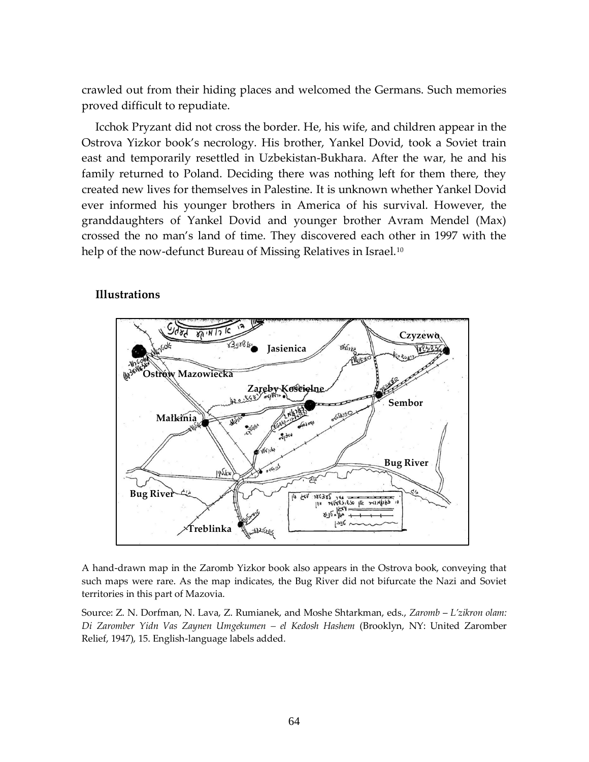crawled out from their hiding places and welcomed the Germans. Such memories proved difficult to repudiate.

Icchok Pryzant did not cross the border. He, his wife, and children appear in the Ostrova Yizkor book's necrology. His brother, Yankel Dovid, took a Soviet train east and temporarily resettled in Uzbekistan-Bukhara. After the war, he and his family returned to Poland. Deciding there was nothing left for them there, they created new lives for themselves in Palestine. It is unknown whether Yankel Dovid ever informed his younger brothers in America of his survival. However, the granddaughters of Yankel Dovid and younger brother Avram Mendel (Max) crossed the no man's land of time. They discovered each other in 1997 with the help of the now-defunct Bureau of Missing Relatives in Israel.<sup>10</sup>

# **Illustrations**



A hand-drawn map in the Zaromb Yizkor book also appears in the Ostrova book, conveying that such maps were rare. As the map indicates, the Bug River did not bifurcate the Nazi and Soviet territories in this part of Mazovia.

Source: Z. N. Dorfman, N. Lava, Z. Rumianek, and Moshe Shtarkman, eds., *Zaromb* – *L'zikron olam: Di Zaromber Yidn Vas Zaynen Umgekumen – el Kedosh Hashem* (Brooklyn, NY: United Zaromber Relief, 1947), 15. English-language labels added.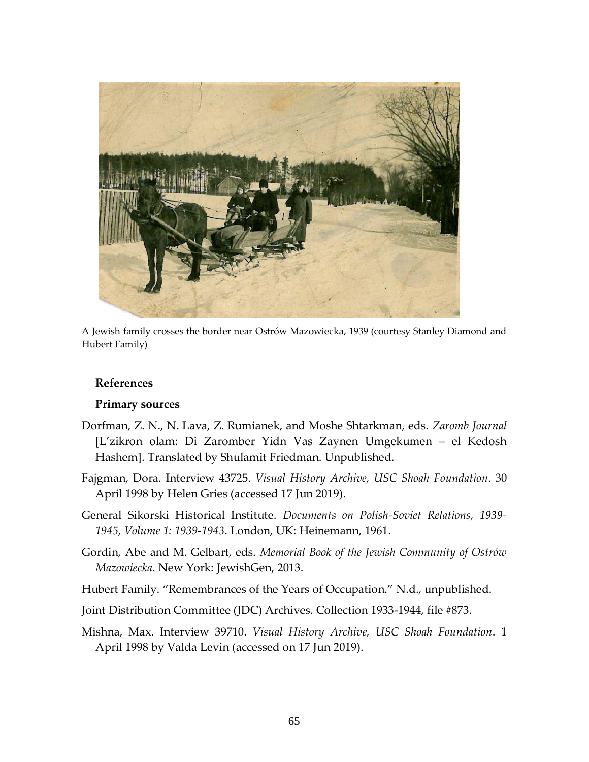

A Jewish family crosses the border near Ostrów Mazowiecka, 1939 (courtesy Stanley Diamond and Hubert Family)

# **References**

#### **Primary sources**

- Dorfman, Z. N., N. Lava, Z. Rumianek, and Moshe Shtarkman, eds. *Zaromb Journal* [L'zikron olam: Di Zaromber Yidn Vas Zaynen Umgekumen – el Kedosh Hashem]. Translated by Shulamit Friedman. Unpublished.
- Fajgman, Dora. Interview 43725. *Visual History Archive, USC Shoah Foundation*. 30 April 1998 by Helen Gries (accessed 17 Jun 2019).
- General Sikorski Historical Institute. *Documents on Polish-Soviet Relations, 1939- 1945, Volume 1: 1939-1943*. London, UK: Heinemann, 1961.
- Gordin, Abe and M. Gelbart, eds. *Memorial Book of the Jewish Community of Ostrów Mazowiecka*. New York: JewishGen, 2013.

Hubert Family. "Remembrances of the Years of Occupation." N.d., unpublished.

- Joint Distribution Committee (JDC) Archives. Collection 1933-1944, file #873.
- Mishna, Max. Interview 39710. *Visual History Archive, USC Shoah Foundation*. 1 April 1998 by Valda Levin (accessed on 17 Jun 2019).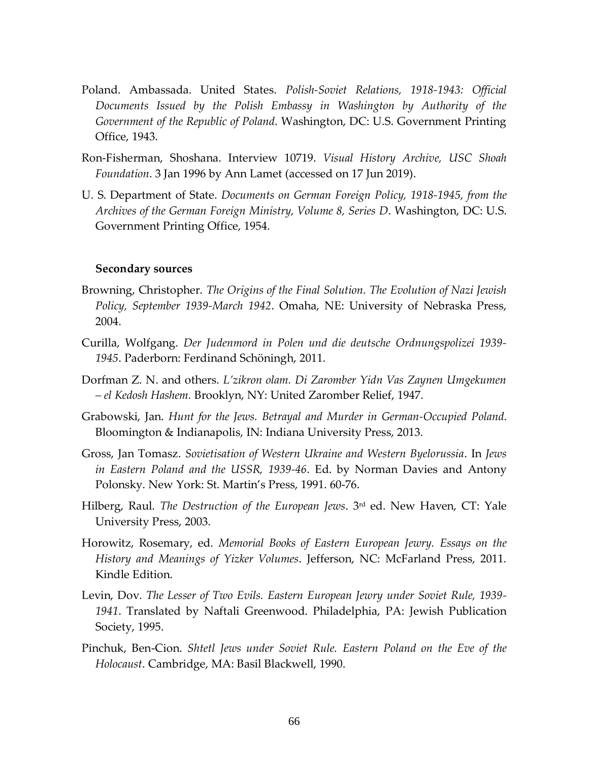- Poland. Ambassada. United States. *Polish-Soviet Relations, 1918-1943: Official Documents Issued by the Polish Embassy in Washington by Authority of the Government of the Republic of Poland*. Washington, DC: U.S. Government Printing Office, 1943.
- Ron-Fisherman, Shoshana. Interview 10719. *Visual History Archive, USC Shoah Foundation*. 3 Jan 1996 by Ann Lamet (accessed on 17 Jun 2019).
- U. S. Department of State. *Documents on German Foreign Policy, 1918-1945, from the Archives of the German Foreign Ministry, Volume 8, Series D*. Washington, DC: U.S. Government Printing Office, 1954.

#### **Secondary sources**

- Browning, Christopher. *The Origins of the Final Solution. The Evolution of Nazi Jewish Policy, September 1939-March 1942*. Omaha, NE: University of Nebraska Press, 2004.
- Curilla, Wolfgang. *Der Judenmord in Polen und die deutsche Ordnungspolizei 1939- 1945*. Paderborn: Ferdinand Schöningh, 2011.
- Dorfman Z. N. and others. *L'zikron olam. Di Zaromber Yidn Vas Zaynen Umgekumen – el Kedosh Hashem.* Brooklyn, NY: United Zaromber Relief, 1947.
- Grabowski, Jan. *Hunt for the Jews. Betrayal and Murder in German-Occupied Poland*. Bloomington & Indianapolis, IN: Indiana University Press, 2013.
- Gross, Jan Tomasz. *Sovietisation of Western Ukraine and Western Byelorussia*. In *Jews in Eastern Poland and the USSR, 1939-46*. Ed. by Norman Davies and Antony Polonsky. New York: St. Martin's Press, 1991. 60-76.
- Hilberg, Raul. *The Destruction of the European Jews*. 3rd ed. New Haven, CT: Yale University Press, 2003.
- Horowitz, Rosemary, ed. *Memorial Books of Eastern European Jewry. Essays on the History and Meanings of Yizker Volumes*. Jefferson, NC: McFarland Press, 2011. Kindle Edition.
- Levin, Dov. *The Lesser of Two Evils. Eastern European Jewry under Soviet Rule, 1939- 1941*. Translated by Naftali Greenwood. Philadelphia, PA: Jewish Publication Society, 1995.
- Pinchuk, Ben-Cion. *Shtetl Jews under Soviet Rule. Eastern Poland on the Eve of the Holocaust*. Cambridge, MA: Basil Blackwell, 1990.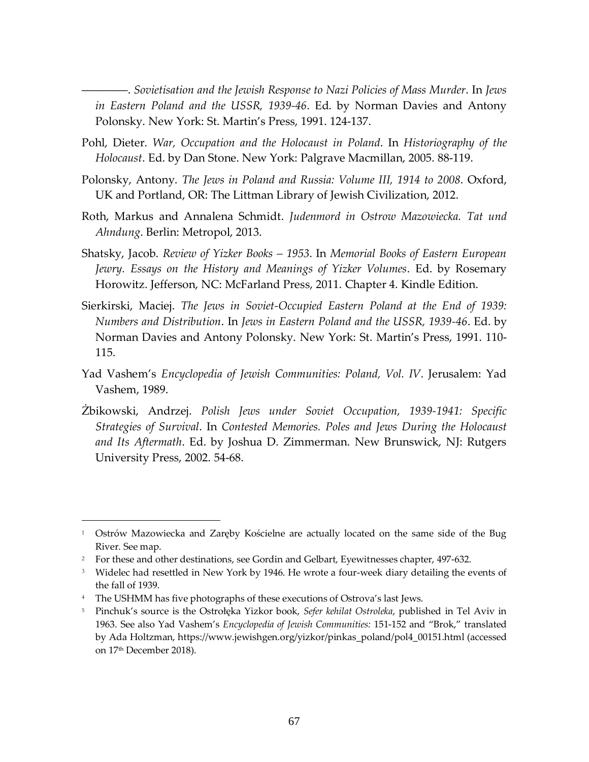――――. *Sovietisation and the Jewish Response to Nazi Policies of Mass Murder*. In *Jews in Eastern Poland and the USSR, 1939-46*. Ed. by Norman Davies and Antony Polonsky. New York: St. Martin's Press, 1991. 124-137.

- Pohl, Dieter. *War, Occupation and the Holocaust in Poland*. In *Historiography of the Holocaust*. Ed. by Dan Stone. New York: Palgrave Macmillan, 2005. 88-119.
- Polonsky, Antony. *The Jews in Poland and Russia: Volume III, 1914 to 2008*. Oxford, UK and Portland, OR: The Littman Library of Jewish Civilization, 2012.
- Roth, Markus and Annalena Schmidt. *Judenmord in Ostrow Mazowiecka. Tat und Ahndung*. Berlin: Metropol, 2013.
- Shatsky, Jacob. *Review of Yizker Books – 1953*. In *Memorial Books of Eastern European Jewry. Essays on the History and Meanings of Yizker Volumes*. Ed. by Rosemary Horowitz. Jefferson, NC: McFarland Press, 2011. Chapter 4. Kindle Edition.
- Sierkirski, Maciej. *The Jews in Soviet-Occupied Eastern Poland at the End of 1939: Numbers and Distribution*. In *Jews in Eastern Poland and the USSR, 1939-46*. Ed. by Norman Davies and Antony Polonsky. New York: St. Martin's Press, 1991. 110- 115.
- Yad Vashem's *Encyclopedia of Jewish Communities: Poland, Vol. IV*. Jerusalem: Yad Vashem, 1989.
- Żbikowski, Andrzej. *Polish Jews under Soviet Occupation, 1939-1941: Specific Strategies of Survival*. In *Contested Memories. Poles and Jews During the Holocaust and Its Aftermath*. Ed. by Joshua D. Zimmerman. New Brunswick, NJ: Rutgers University Press, 2002. 54-68.

 $\overline{a}$ 

<sup>&</sup>lt;sup>1</sup> Ostrów Mazowiecka and Zaręby Kościelne are actually located on the same side of the Bug River. See map.

<sup>&</sup>lt;sup>2</sup> For these and other destinations, see Gordin and Gelbart, Eyewitnesses chapter, 497-632.

<sup>&</sup>lt;sup>3</sup> Widelec had resettled in New York by 1946. He wrote a four-week diary detailing the events of the fall of 1939.

<sup>4</sup> The USHMM has five photographs of these executions of Ostrova's last Jews.

<sup>5</sup> Pinchuk's source is the Ostrołęka Yizkor book, *Sefer kehilat Ostroleka*, published in Tel Aviv in 1963. See also Yad Vashem's *Encyclopedia of Jewish Communities:* 151-152 and "Brok," translated by Ada Holtzman, https://www.jewishgen.org/yizkor/pinkas\_poland/pol4\_00151.html (accessed on 17th December 2018).